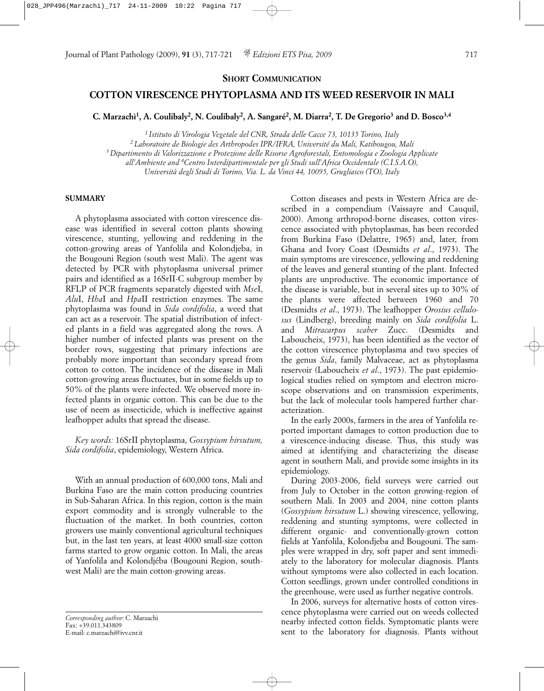**SHORT COMMUNICATION**

# **COTTON VIRESCENCE PHYTOPLASMA AND ITS WEED RESERVOIR IN MALI**

**C. Marzachì1, A. Coulibaly2, N. Coulibaly2, A. Sangaré2, M. Diarra2, T. De Gregorio3 and D. Bosco3,4**

*1 Istituto di Virologia Vegetale del CNR, Strada delle Cacce 73, 10135 Torino, Italy*

*2 Laboratoire de Biologie des Arthropodes IPR/IFRA, Université du Mali, Katibougou, Mali 3 Dipartimento di Valorizzazione e Protezione delle Risorse Agroforestali, Entomologia e Zoologia Applicate* 

*all'Ambiente and 4Centro Interdipartimentale per gli Studi sull'Africa Occidentale (C.I.S.A.O),* 

*Università degli Studi di Torino, Via. L. da Vinci 44, 10095, Grugliasco (TO), Italy*

#### **SUMMARY**

A phytoplasma associated with cotton virescence disease was identified in several cotton plants showing virescence, stunting, yellowing and reddening in the cotton-growing areas of Yanfolila and Kolondjeba, in the Bougouni Region (south west Mali). The agent was detected by PCR with phytoplasma universal primer pairs and identified as a 16SrII-C subgroup member by RFLP of PCR fragments separately digested with *Mse*I, *Alu*I, *Hha*I and *Hpa*II restriction enzymes. The same phytoplasma was found in *Sida cordifolia*, a weed that can act as a reservoir. The spatial distribution of infected plants in a field was aggregated along the rows. A higher number of infected plants was present on the border rows, suggesting that primary infections are probably more important than secondary spread from cotton to cotton. The incidence of the disease in Mali cotton-growing areas fluctuates, but in some fields up to 50% of the plants were infected. We observed more infected plants in organic cotton. This can be due to the use of neem as insecticide, which is ineffective against leafhopper adults that spread the disease.

*Key words:* 16SrII phytoplasma, *Gossypium hirsutum, Sida cordifolia*, epidemiology, Western Africa.

With an annual production of 600,000 tons, Mali and Burkina Faso are the main cotton producing countries in Sub-Saharan Africa. In this region, cotton is the main export commodity and is strongly vulnerable to the fluctuation of the market. In both countries, cotton growers use mainly conventional agricultural techniques but, in the last ten years, at least 4000 small-size cotton farms started to grow organic cotton. In Mali, the areas of Yanfolila and Kolondjéba (Bougouni Region, southwest Mali) are the main cotton-growing areas.

Cotton diseases and pests in Western Africa are described in a compendium (Vaissayre and Cauquil, 2000). Among arthropod-borne diseases, cotton virescence associated with phytoplasmas, has been recorded from Burkina Faso (Delattre, 1965) and, later, from Ghana and Ivory Coast (Desmidts *et al*., 1973). The main symptoms are virescence, yellowing and reddening of the leaves and general stunting of the plant. Infected plants are unproductive. The economic importance of the disease is variable, but in several sites up to 30% of the plants were affected between 1960 and 70 (Desmidts *et al*., 1973). The leafhopper *Orosius cellulosus* (Lindberg), breeding mainly on *Sida cordifolia* L. and *Mitracarpus scaber* Zucc. (Desmidts and Laboucheix, 1973), has been identified as the vector of the cotton virescence phytoplasma and two species of the genus *Sida*, family Malvaceae, act as phytoplasma reservoir (Laboucheix *et al*., 1973). The past epidemiological studies relied on symptom and electron microscope observations and on transmission experiments, but the lack of molecular tools hampered further characterization.

In the early 2000s, farmers in the area of Yanfolila reported important damages to cotton production due to a virescence-inducing disease. Thus, this study was aimed at identifying and characterizing the disease agent in southern Mali, and provide some insights in its epidemiology.

During 2003-2006, field surveys were carried out from July to October in the cotton growing-region of southern Mali. In 2003 and 2004, nine cotton plants (*Gossypium hirsutum* L.) showing virescence, yellowing, reddening and stunting symptoms, were collected in different organic- and conventionally-grown cotton fields at Yanfolila, Kolondjeba and Bougouni. The samples were wrapped in dry, soft paper and sent immediately to the laboratory for molecular diagnosis. Plants without symptoms were also collected in each location. Cotton seedlings, grown under controlled conditions in the greenhouse, were used as further negative controls.

In 2006, surveys for alternative hosts of cotton virescence phytoplasma were carried out on weeds collected nearby infected cotton fields. Symptomatic plants were sent to the laboratory for diagnosis. Plants without

*Corresponding author*: C. Marzachì Fax: +39.011.343809 E-mail: c.marzachi@ivv.cnr.it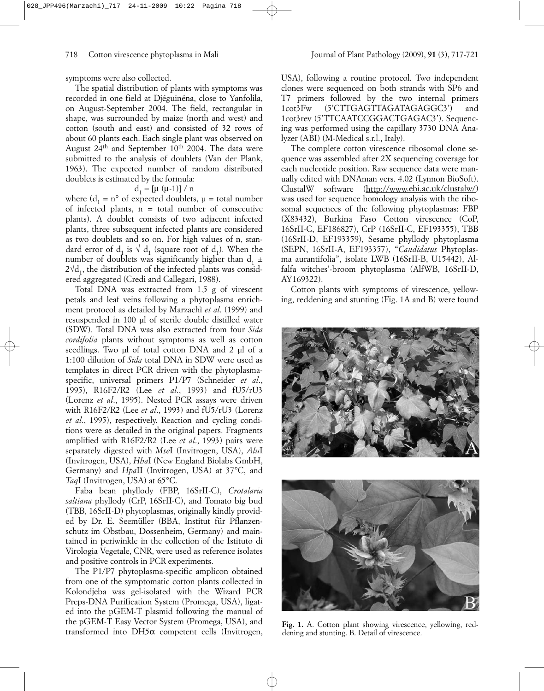symptoms were also collected.

The spatial distribution of plants with symptoms was recorded in one field at Djéguinéna, close to Yanfolila, on August-September 2004. The field, rectangular in shape, was surrounded by maize (north and west) and cotton (south and east) and consisted of 32 rows of about 60 plants each. Each single plant was observed on August  $24<sup>th</sup>$  and September 10<sup>th</sup> 2004. The data were submitted to the analysis of doublets (Van der Plank, 1963). The expected number of random distributed doublets is estimated by the formula:

## $d_1 = [\mu (\mu-1)] / n$

where  $(d_1 = n^\circ \text{ of expected doublets}, \mu = \text{total number})$ of infected plants,  $n = total$  number of consecutive plants). A doublet consists of two adjacent infected plants, three subsequent infected plants are considered as two doublets and so on. For high values of n, standard error of d<sub>1</sub> is  $\sqrt{d_1}$  (square root of d<sub>1</sub>). When the number of doublets was significantly higher than  $d_1 \pm$  $2\sqrt{d_1}$ , the distribution of the infected plants was considered aggregated (Credi and Callegari, 1988).

Total DNA was extracted from 1.5 g of virescent petals and leaf veins following a phytoplasma enrichment protocol as detailed by Marzachì *et al*. (1999) and resuspended in 100 µl of sterile double distilled water (SDW). Total DNA was also extracted from four *Sida cordifolia* plants without symptoms as well as cotton seedlings. Two ul of total cotton DNA and 2 µl of a 1:100 dilution of *Sida* total DNA in SDW were used as templates in direct PCR driven with the phytoplasmaspecific, universal primers P1/P7 (Schneider *et al*., 1995), R16F2/R2 (Lee *et al*., 1993) and fU5/rU3 (Lorenz *et al*., 1995). Nested PCR assays were driven with R16F2/R2 (Lee *et al*., 1993) and fU5/rU3 (Lorenz *et al*., 1995), respectively. Reaction and cycling conditions were as detailed in the original papers. Fragments amplified with R16F2/R2 (Lee *et al*., 1993) pairs were separately digested with *Mse*I (Invitrogen, USA), *Alu*I (Invitrogen, USA), *Hha*I (New England Biolabs GmbH, Germany) and *Hpa*II (Invitrogen, USA) at 37°C, and *Taq*I (Invitrogen, USA) at 65°C.

Faba bean phyllody (FBP, 16SrII-C), *Crotalaria saltiana* phyllody (CrP, 16SrII-C), and Tomato big bud (TBB, 16SrII-D) phytoplasmas, originally kindly provided by Dr. E. Seemüller (BBA, Institut für Pflanzenschutz im Obstbau, Dossenheim, Germany) and maintained in periwinkle in the collection of the Istituto di Virologia Vegetale, CNR, were used as reference isolates and positive controls in PCR experiments.

The P1/P7 phytoplasma-specific amplicon obtained from one of the symptomatic cotton plants collected in Kolondjeba was gel-isolated with the Wizard PCR Preps-DNA Purification System (Promega, USA), ligated into the pGEM-T plasmid following the manual of the pGEM-T Easy Vector System (Promega, USA), and transformed into DH5α competent cells (Invitrogen,

USA), following a routine protocol. Two independent clones were sequenced on both strands with SP6 and T7 primers followed by the two internal primers 1cot3Fw (5'CTTGAGTTAGATAGAGGC3') and 1cot3rev (5'TTCAATCCGGACTGAGAC3'). Sequencing was performed using the capillary 3730 DNA Analyzer (ABI) (M-Medical s.r.l., Italy).

The complete cotton virescence ribosomal clone sequence was assembled after 2X sequencing coverage for each nucleotide position. Raw sequence data were manually edited with DNAman vers. 4.02 (Lynnon BioSoft). ClustalW software (http://www.ebi.ac.uk/clustalw/) was used for sequence homology analysis with the ribosomal sequences of the following phytoplasmas: FBP (X83432), Burkina Faso Cotton virescence (CoP, 16SrII-C, EF186827), CrP (16SrII-C, EF193355), TBB (16SrII-D, EF193359), Sesame phyllody phytoplasma (SEPN, 16SrII-A, EF193357), "*Candidatus* Phytoplasma aurantifolia", isolate LWB (16SrII-B, U15442), Alfalfa witches'-broom phytoplasma (AlfWB, 16SrII-D, AY169322).

Cotton plants with symptoms of virescence, yellowing, reddening and stunting (Fig. 1A and B) were found





**Fig. 1.** A. Cotton plant showing virescence, yellowing, reddening and stunting. B. Detail of virescence.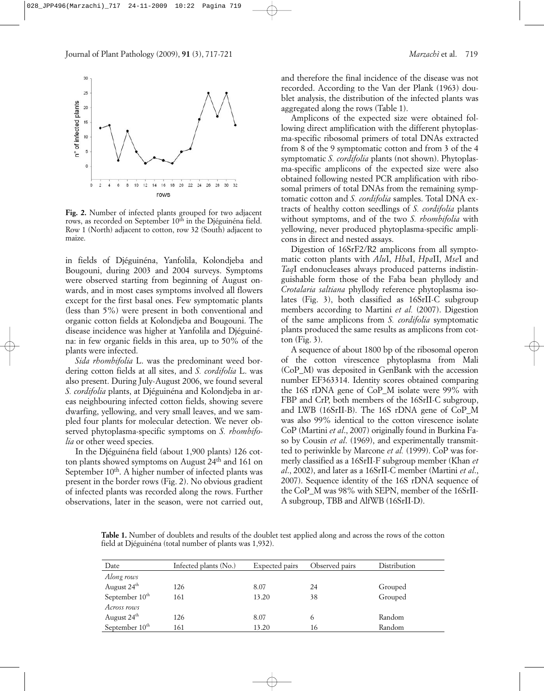

**Fig. 2.** Number of infected plants grouped for two adjacent rows, as recorded on September 10<sup>th</sup> in the Djéguinéna field. Row 1 (North) adjacent to cotton, row 32 (South) adjacent to maize.

in fields of Djéguinéna, Yanfolila, Kolondjeba and Bougouni, during 2003 and 2004 surveys. Symptoms were observed starting from beginning of August onwards, and in most cases symptoms involved all flowers except for the first basal ones. Few symptomatic plants (less than 5%) were present in both conventional and organic cotton fields at Kolondjeba and Bougouni. The disease incidence was higher at Yanfolila and Djéguinéna: in few organic fields in this area, up to 50% of the plants were infected.

*Sida rhombifolia* L. was the predominant weed bordering cotton fields at all sites, and *S. cordifolia* L. was also present. During July-August 2006, we found several *S. cordifolia* plants, at Djéguinéna and Kolondjeba in areas neighbouring infected cotton fields, showing severe dwarfing, yellowing, and very small leaves, and we sampled four plants for molecular detection. We never observed phytoplasma-specific symptoms on *S. rhombifolia* or other weed species.

In the Djéguinéna field (about 1,900 plants) 126 cotton plants showed symptoms on August 24<sup>th</sup> and 161 on September 10<sup>th</sup>. A higher number of infected plants was present in the border rows (Fig. 2). No obvious gradient of infected plants was recorded along the rows. Further observations, later in the season, were not carried out,

and therefore the final incidence of the disease was not recorded. According to the Van der Plank (1963) doublet analysis, the distribution of the infected plants was aggregated along the rows (Table 1).

Amplicons of the expected size were obtained following direct amplification with the different phytoplasma-specific ribosomal primers of total DNAs extracted from 8 of the 9 symptomatic cotton and from 3 of the 4 symptomatic *S. cordifolia* plants (not shown). Phytoplasma-specific amplicons of the expected size were also obtained following nested PCR amplification with ribosomal primers of total DNAs from the remaining symptomatic cotton and *S. cordifolia* samples. Total DNA extracts of healthy cotton seedlings of *S. cordifolia* plants without symptoms, and of the two *S. rhombifolia* with yellowing, never produced phytoplasma-specific amplicons in direct and nested assays.

Digestion of 16SrF2/R2 amplicons from all symptomatic cotton plants with *Alu*I, *Hha*I, *Hpa*II, *Mse*I and *Taq*I endonucleases always produced patterns indistinguishable form those of the Faba bean phyllody and *Crotalaria saltiana* phyllody reference phytoplasma isolates (Fig. 3), both classified as 16SrII-C subgroup members according to Martini *et al.* (2007). Digestion of the same amplicons from *S. cordifolia* symptomatic plants produced the same results as amplicons from cotton (Fig. 3).

A sequence of about 1800 bp of the ribosomal operon of the cotton virescence phytoplasma from Mali (CoP\_M) was deposited in GenBank with the accession number EF363314. Identity scores obtained comparing the 16S rDNA gene of CoP\_M isolate were 99% with FBP and CrP, both members of the 16SrII-C subgroup, and LWB (16SrII-B). The 16S rDNA gene of CoP\_M was also 99% identical to the cotton virescence isolate CoP (Martini *et al*., 2007) originally found in Burkina Faso by Cousin *et al*. (1969), and experimentally transmitted to periwinkle by Marcone *et al.* (1999). CoP was formerly classified as a 16SrII-F subgroup member (Khan *et al*., 2002), and later as a 16SrII-C member (Martini *et al*., 2007). Sequence identity of the 16S rDNA sequence of the CoP\_M was 98% with SEPN, member of the 16SrII-A subgroup, TBB and AlfWB (16SrII-D).

**Table 1.** Number of doublets and results of the doublet test applied along and across the rows of the cotton field at Djéguinéna (total number of plants was 1,932).

| Date                       | Infected plants (No.) | Expected pairs | Observed pairs | Distribution |
|----------------------------|-----------------------|----------------|----------------|--------------|
| Along rows                 |                       |                |                |              |
| August 24 <sup>th</sup>    | 126                   | 8.07           | 24             | Grouped      |
| September 10 <sup>th</sup> | 161                   | 13.20          | 38             | Grouped      |
| Across rows                |                       |                |                |              |
| August 24 <sup>th</sup>    | 126                   | 8.07           | 6              | Random       |
| September $10th$           | 161                   | 13.20          | 16             | Random       |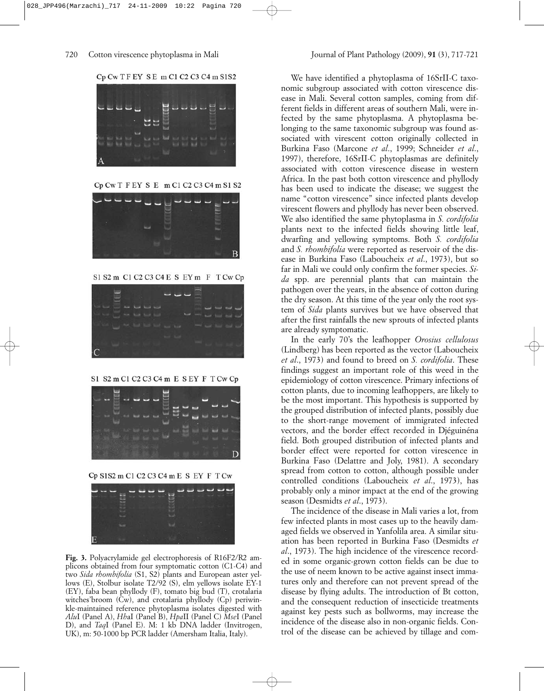



Cp Cw T F EY S E m C1 C2 C3 C4 m S1 S2



S1 S2 m C1 C2 C3 C4 E S EY m F T Cw Cp



S1 S2 m C1 C2 C3 C4 m E S EY F T Cw Cp



Cp S1S2 m C1 C2 C3 C4 m E S EY F T Cw



**Fig. 3.** Polyacrylamide gel electrophoresis of R16F2/R2 amplicons obtained from four symptomatic cotton (C1-C4) and two *Sida rhombifolia* (S1, S2) plants and European aster yellows (E), Stolbur isolate T2/92 (S), elm yellows isolate EY-1 (EY), faba bean phyllody (F), tomato big bud (T), crotalaria witches' broom (Cw), and crotalaria phyllody (Cp) periwinkle-maintained reference phytoplasma isolates digested with *Alu*I (Panel A), *Hh*aI (Panel B), *Hpa*II (Panel C) *Mse*I (Panel D), and *Taq*I (Panel E). M: 1 kb DNA ladder (Invitrogen, UK), m: 50-1000 bp PCR ladder (Amersham Italia, Italy).

We have identified a phytoplasma of 16SrII-C taxonomic subgroup associated with cotton virescence disease in Mali. Several cotton samples, coming from different fields in different areas of southern Mali, were infected by the same phytoplasma. A phytoplasma belonging to the same taxonomic subgroup was found associated with virescent cotton originally collected in Burkina Faso (Marcone *et al*., 1999; Schneider *et al*., 1997), therefore, 16SrII-C phytoplasmas are definitely associated with cotton virescence disease in western Africa. In the past both cotton virescence and phyllody has been used to indicate the disease; we suggest the name "cotton virescence" since infected plants develop virescent flowers and phyllody has never been observed. We also identified the same phytoplasma in *S. cordifolia* plants next to the infected fields showing little leaf, dwarfing and yellowing symptoms. Both *S. cordifolia* and *S. rhombifolia* were reported as reservoir of the disease in Burkina Faso (Laboucheix *et al*., 1973), but so far in Mali we could only confirm the former species. *Sida* spp. are perennial plants that can maintain the pathogen over the years, in the absence of cotton during the dry season. At this time of the year only the root system of *Sida* plants survives but we have observed that after the first rainfalls the new sprouts of infected plants are already symptomatic.

In the early 70's the leafhopper *Orosius cellulosus* (Lindberg) has been reported as the vector (Laboucheix *et al*., 1973) and found to breed on *S. cordifolia*. These findings suggest an important role of this weed in the epidemiology of cotton virescence. Primary infections of cotton plants, due to incoming leafhoppers, are likely to be the most important. This hypothesis is supported by the grouped distribution of infected plants, possibly due to the short-range movement of immigrated infected vectors, and the border effect recorded in Djéguinéna field. Both grouped distribution of infected plants and border effect were reported for cotton virescence in Burkina Faso (Delattre and Joly, 1981). A secondary spread from cotton to cotton, although possible under controlled conditions (Laboucheix *et al*., 1973), has probably only a minor impact at the end of the growing season (Desmidts *et al*., 1973).

The incidence of the disease in Mali varies a lot, from few infected plants in most cases up to the heavily damaged fields we observed in Yanfolila area. A similar situation has been reported in Burkina Faso (Desmidts *et al*., 1973). The high incidence of the virescence recorded in some organic-grown cotton fields can be due to the use of neem known to be active against insect immatures only and therefore can not prevent spread of the disease by flying adults. The introduction of Bt cotton, and the consequent reduction of insecticide treatments against key pests such as bollworms, may increase the incidence of the disease also in non-organic fields. Control of the disease can be achieved by tillage and com